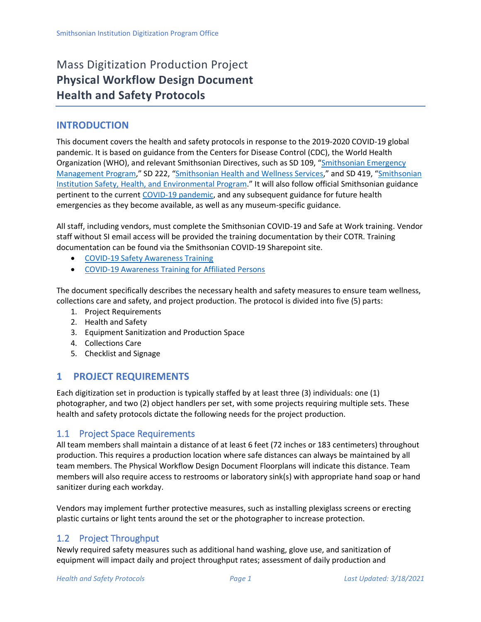# Mass Digitization Production Project **Physical Workflow Design Document Health and Safety Protocols**

### **INTRODUCTION**

This document covers the health and safety protocols in response to the 2019-2020 COVID-19 global pandemic. It is based on guidance from the Centers for Disease Control (CDC), the World Health Organization (WHO), and relevant Smithsonian Directives, such as SD 109, "[Smithsonian Emergency](https://sinet.sharepoint.com/sites/PRISM2/SIOrganization/OCFO/opmb/SD/SD109.pdf)  [Management Program](https://sinet.sharepoint.com/sites/PRISM2/SIOrganization/OCFO/opmb/SD/SD109.pdf)," SD 222, "[Smithsonian Health and Wellness Services](https://sinet.sharepoint.com/sites/PRISM2/SIOrganization/OCFO/OPMB/SD/SD222.pdf)," and SD 419, "[Smithsonian](https://sinet.sharepoint.com/sites/PRISM2/SIOrganization/OCFO/OPMB/SD/SD419.pdf)  [Institution Safety, Health, and Environmental Program](https://sinet.sharepoint.com/sites/PRISM2/SIOrganization/OCFO/OPMB/SD/SD419.pdf)." It will also follow official Smithsonian guidance pertinent to the current [COVID-19 pandemic,](https://sinet.sharepoint.com/sites/COVID-19) and any subsequent guidance for future health emergencies as they become available, as well as any museum-specific guidance.

All staff, including vendors, must complete the Smithsonian COVID-19 and Safe at Work training. Vendor staff without SI email access will be provided the training documentation by their COTR. Training documentation can be found via the Smithsonian COVID-19 Sharepoint site.

- [COVID-19 Safety Awareness Training](https://sinet.sharepoint.com/:b:/r/sites/COVID-19/Documents/COVID/COVID-19_REQUIRED_Safety_Training_2020_06.pdf?csf=1&web=1&e=eJorRF)
- [COVID-19 Awareness Training for Affiliated Persons](https://sinet.sharepoint.com/:b:/r/sites/COVID-19/Documents/COVID/COVIDTraining_AffiliatedPersons.pdf?csf=1&web=1&e=aMDwl4)

The document specifically describes the necessary health and safety measures to ensure team wellness, collections care and safety, and project production. The protocol is divided into five (5) parts:

- 1. Project Requirements
- 2. Health and Safety
- 3. Equipment Sanitization and Production Space
- 4. Collections Care
- 5. Checklist and Signage

# **1 PROJECT REQUIREMENTS**

Each digitization set in production is typically staffed by at least three (3) individuals: one (1) photographer, and two (2) object handlers per set, with some projects requiring multiple sets. These health and safety protocols dictate the following needs for the project production.

### 1.1 Project Space Requirements

All team members shall maintain a distance of at least 6 feet (72 inches or 183 centimeters) throughout production. This requires a production location where safe distances can always be maintained by all team members. The Physical Workflow Design Document Floorplans will indicate this distance. Team members will also require access to restrooms or laboratory sink(s) with appropriate hand soap or hand sanitizer during each workday.

Vendors may implement further protective measures, such as installing plexiglass screens or erecting plastic curtains or light tents around the set or the photographer to increase protection.

# 1.2 Project Throughput

Newly required safety measures such as additional hand washing, glove use, and sanitization of equipment will impact daily and project throughput rates; assessment of daily production and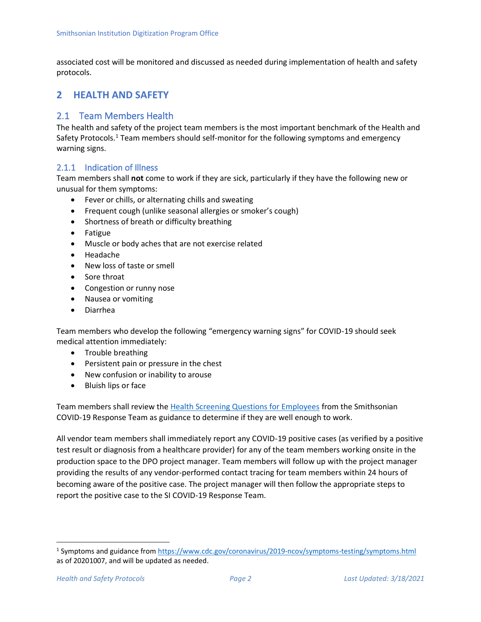associated cost will be monitored and discussed as needed during implementation of health and safety protocols.

### **2 HEALTH AND SAFETY**

### 2.1 Team Members Health

The health and safety of the project team members is the most important benchmark of the Health and Safety Protocols.<sup>1</sup> Team members should self-monitor for the following symptoms and emergency warning signs.

#### 2.1.1 Indication of Illness

Team members shall **not** come to work if they are sick, particularly if they have the following new or unusual for them symptoms:

- Fever or chills, or alternating chills and sweating
- Frequent cough (unlike seasonal allergies or smoker's cough)
- Shortness of breath or difficulty breathing
- Fatigue
- Muscle or body aches that are not exercise related
- Headache
- New loss of taste or smell
- Sore throat
- Congestion or runny nose
- Nausea or vomiting
- Diarrhea

Team members who develop the following "emergency warning signs" for COVID-19 should seek medical attention immediately:

- Trouble breathing
- Persistent pain or pressure in the chest
- New confusion or inability to arouse
- Bluish lips or face

Team members shall review the [Health Screening Questions for Employees](https://sinet.sharepoint.com/:b:/r/sites/COVID-19/Documents/COVID/Health%20Screening%20Questions_6-10-20.pdf?csf=1&web=1&e=A8cZAP) from the Smithsonian COVID-19 Response Team as guidance to determine if they are well enough to work.

All vendor team members shall immediately report any COVID-19 positive cases (as verified by a positive test result or diagnosis from a healthcare provider) for any of the team members working onsite in the production space to the DPO project manager. Team members will follow up with the project manager providing the results of any vendor-performed contact tracing for team members within 24 hours of becoming aware of the positive case. The project manager will then follow the appropriate steps to report the positive case to the SI COVID-19 Response Team.

<sup>1</sup> Symptoms and guidance from<https://www.cdc.gov/coronavirus/2019-ncov/symptoms-testing/symptoms.html> as of 20201007, and will be updated as needed.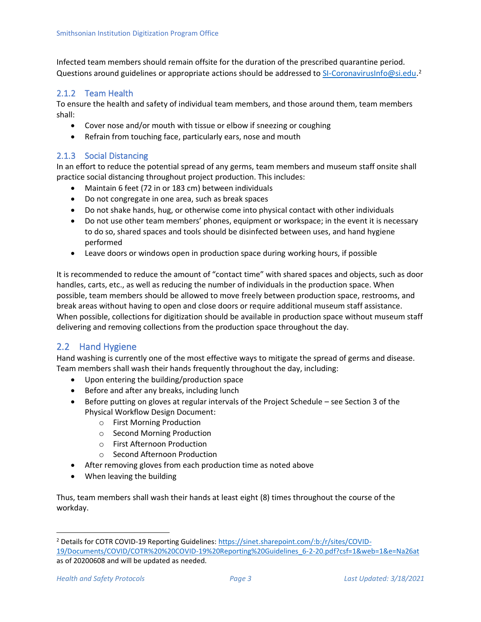Infected team members should remain offsite for the duration of the prescribed quarantine period. Questions around guidelines or appropriate actions should be addressed to [SI-CoronavirusInfo@si.edu.](mailto:SI-CoronavirusInfo@si.edu)<sup>2</sup>

#### 2.1.2 Team Health

To ensure the health and safety of individual team members, and those around them, team members shall:

- Cover nose and/or mouth with tissue or elbow if sneezing or coughing
- Refrain from touching face, particularly ears, nose and mouth

#### 2.1.3 Social Distancing

In an effort to reduce the potential spread of any germs, team members and museum staff onsite shall practice social distancing throughout project production. This includes:

- Maintain 6 feet (72 in or 183 cm) between individuals
- Do not congregate in one area, such as break spaces
- Do not shake hands, hug, or otherwise come into physical contact with other individuals
- Do not use other team members' phones, equipment or workspace; in the event it is necessary to do so, shared spaces and tools should be disinfected between uses, and hand hygiene performed
- Leave doors or windows open in production space during working hours, if possible

It is recommended to reduce the amount of "contact time" with shared spaces and objects, such as door handles, carts, etc., as well as reducing the number of individuals in the production space. When possible, team members should be allowed to move freely between production space, restrooms, and break areas without having to open and close doors or require additional museum staff assistance. When possible, collections for digitization should be available in production space without museum staff delivering and removing collections from the production space throughout the day.

### 2.2 Hand Hygiene

Hand washing is currently one of the most effective ways to mitigate the spread of germs and disease. Team members shall wash their hands frequently throughout the day, including:

- Upon entering the building/production space
- Before and after any breaks, including lunch
- Before putting on gloves at regular intervals of the Project Schedule see Section 3 of the Physical Workflow Design Document:
	- o First Morning Production
	- o Second Morning Production
	- o First Afternoon Production
	- o Second Afternoon Production
- After removing gloves from each production time as noted above
- When leaving the building

Thus, team members shall wash their hands at least eight (8) times throughout the course of the workday.

<sup>2</sup> Details for COTR COVID-19 Reporting Guidelines: [https://sinet.sharepoint.com/:b:/r/sites/COVID-](https://sinet.sharepoint.com/:b:/r/sites/COVID-19/Documents/COVID/COTR%20%20COVID-19%20Reporting%20Guidelines_6-2-20.pdf?csf=1&web=1&e=Na26at)[19/Documents/COVID/COTR%20%20COVID-19%20Reporting%20Guidelines\\_6-2-20.pdf?csf=1&web=1&e=Na26at](https://sinet.sharepoint.com/:b:/r/sites/COVID-19/Documents/COVID/COTR%20%20COVID-19%20Reporting%20Guidelines_6-2-20.pdf?csf=1&web=1&e=Na26at) as of 20200608 and will be updated as needed.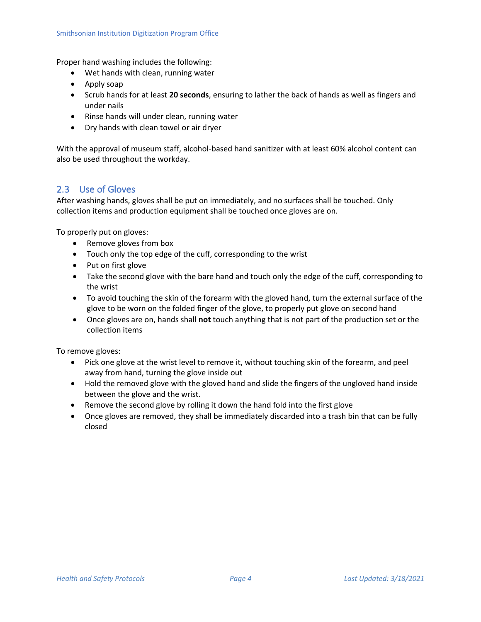Proper hand washing includes the following:

- Wet hands with clean, running water
- Apply soap
- Scrub hands for at least **20 seconds**, ensuring to lather the back of hands as well as fingers and under nails
- Rinse hands will under clean, running water
- Dry hands with clean towel or air dryer

With the approval of museum staff, alcohol-based hand sanitizer with at least 60% alcohol content can also be used throughout the workday.

### 2.3 Use of Gloves

After washing hands, gloves shall be put on immediately, and no surfaces shall be touched. Only collection items and production equipment shall be touched once gloves are on.

To properly put on gloves:

- Remove gloves from box
- Touch only the top edge of the cuff, corresponding to the wrist
- Put on first glove
- Take the second glove with the bare hand and touch only the edge of the cuff, corresponding to the wrist
- To avoid touching the skin of the forearm with the gloved hand, turn the external surface of the glove to be worn on the folded finger of the glove, to properly put glove on second hand
- Once gloves are on, hands shall **not** touch anything that is not part of the production set or the collection items

To remove gloves:

- Pick one glove at the wrist level to remove it, without touching skin of the forearm, and peel away from hand, turning the glove inside out
- Hold the removed glove with the gloved hand and slide the fingers of the ungloved hand inside between the glove and the wrist.
- Remove the second glove by rolling it down the hand fold into the first glove
- Once gloves are removed, they shall be immediately discarded into a trash bin that can be fully closed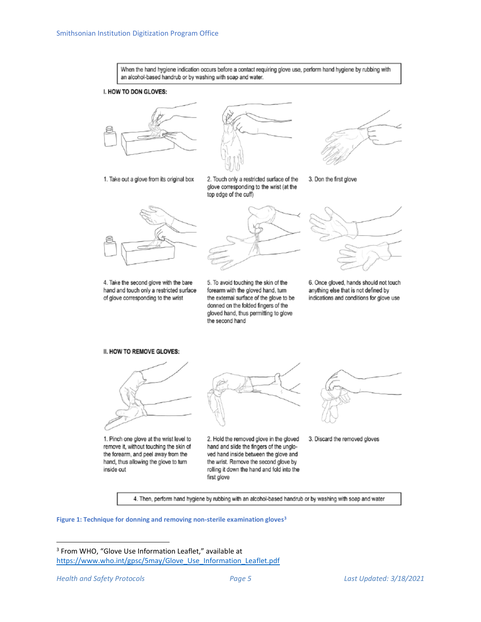

4. Then, perform hand hygiene by rubbing with an alcohol-based handrub or by washing with soap and water

**Figure 1: Technique for donning and removing non-sterile examination gloves<sup>3</sup>**

<sup>3</sup> From WHO, "Glove Use Information Leaflet," available at [https://www.who.int/gpsc/5may/Glove\\_Use\\_Information\\_Leaflet.pdf](https://www.who.int/gpsc/5may/Glove_Use_Information_Leaflet.pdf)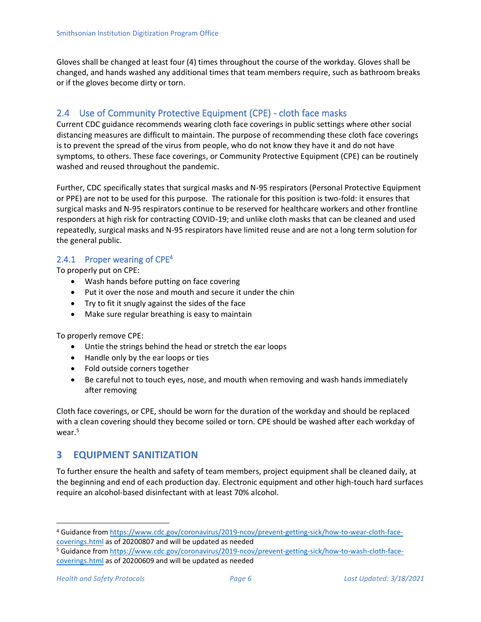Gloves shall be changed at least four (4) times throughout the course of the workday. Gloves shall be changed, and hands washed any additional times that team members require, such as bathroom breaks or if the gloves become dirty or torn.

# 2.4 Use of Community Protective Equipment (CPE) - cloth face masks

Current CDC guidance recommends wearing cloth face coverings in public settings where other social distancing measures are difficult to maintain. The purpose of recommending these cloth face coverings is to prevent the spread of the virus from people, who do not know they have it and do not have symptoms, to others. These face coverings, or Community Protective Equipment (CPE) can be routinely washed and reused throughout the pandemic.

Further, CDC specifically states that surgical masks and N-95 respirators (Personal Protective Equipment or PPE) are not to be used for this purpose. The rationale for this position is two-fold: it ensures that surgical masks and N-95 respirators continue to be reserved for healthcare workers and other frontline responders at high risk for contracting COVID-19; and unlike cloth masks that can be cleaned and used repeatedly, surgical masks and N-95 respirators have limited reuse and are not a long term solution for the general public.

#### 2.4.1 Proper wearing of  $CPE<sup>4</sup>$

To properly put on CPE:

- Wash hands before putting on face covering
- Put it over the nose and mouth and secure it under the chin
- Try to fit it snugly against the sides of the face
- Make sure regular breathing is easy to maintain

To properly remove CPE:

- Untie the strings behind the head or stretch the ear loops
- Handle only by the ear loops or ties
- Fold outside corners together
- Be careful not to touch eyes, nose, and mouth when removing and wash hands immediately after removing

Cloth face coverings, or CPE, should be worn for the duration of the workday and should be replaced with a clean covering should they become soiled or torn. CPE should be washed after each workday of wear.<sup>5</sup>

# **3 EQUIPMENT SANITIZATION**

To further ensure the health and safety of team members, project equipment shall be cleaned daily, at the beginning and end of each production day. Electronic equipment and other high-touch hard surfaces require an alcohol-based disinfectant with at least 70% alcohol.

<sup>4</sup> Guidance from [https://www.cdc.gov/coronavirus/2019-ncov/prevent-getting-sick/how-to-wear-cloth-face](https://www.cdc.gov/coronavirus/2019-ncov/prevent-getting-sick/how-to-wear-cloth-face-coverings.html)[coverings.html](https://www.cdc.gov/coronavirus/2019-ncov/prevent-getting-sick/how-to-wear-cloth-face-coverings.html) as of 20200807 and will be updated as needed

<sup>5</sup> Guidance from [https://www.cdc.gov/coronavirus/2019-ncov/prevent-getting-sick/how-to-wash-cloth-face](https://www.cdc.gov/coronavirus/2019-ncov/prevent-getting-sick/how-to-wash-cloth-face-coverings.html)[coverings.html](https://www.cdc.gov/coronavirus/2019-ncov/prevent-getting-sick/how-to-wash-cloth-face-coverings.html) as of 20200609 and will be updated as needed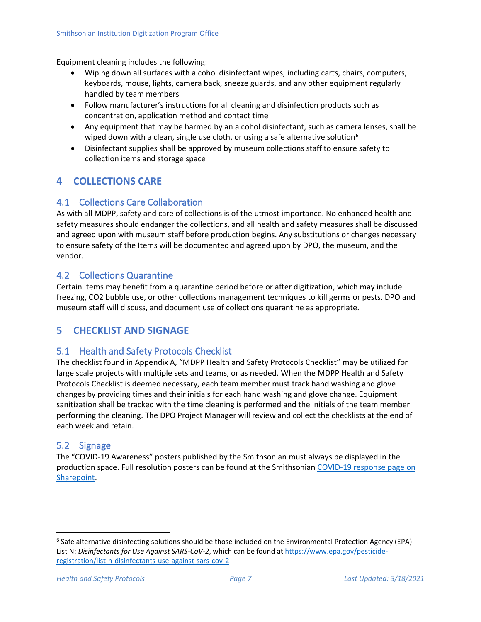Equipment cleaning includes the following:

- Wiping down all surfaces with alcohol disinfectant wipes, including carts, chairs, computers, keyboards, mouse, lights, camera back, sneeze guards, and any other equipment regularly handled by team members
- Follow manufacturer's instructions for all cleaning and disinfection products such as concentration, application method and contact time
- Any equipment that may be harmed by an alcohol disinfectant, such as camera lenses, shall be wiped down with a clean, single use cloth, or using a safe alternative solution<sup>6</sup>
- Disinfectant supplies shall be approved by museum collections staff to ensure safety to collection items and storage space

# **4 COLLECTIONS CARE**

### 4.1 Collections Care Collaboration

As with all MDPP, safety and care of collections is of the utmost importance. No enhanced health and safety measures should endanger the collections, and all health and safety measures shall be discussed and agreed upon with museum staff before production begins. Any substitutions or changes necessary to ensure safety of the Items will be documented and agreed upon by DPO, the museum, and the vendor.

#### 4.2 Collections Quarantine

Certain Items may benefit from a quarantine period before or after digitization, which may include freezing, CO2 bubble use, or other collections management techniques to kill germs or pests. DPO and museum staff will discuss, and document use of collections quarantine as appropriate.

# **5 CHECKLIST AND SIGNAGE**

#### 5.1 Health and Safety Protocols Checklist

The checklist found in Appendix A, "MDPP Health and Safety Protocols Checklist" may be utilized for large scale projects with multiple sets and teams, or as needed. When the MDPP Health and Safety Protocols Checklist is deemed necessary, each team member must track hand washing and glove changes by providing times and their initials for each hand washing and glove change. Equipment sanitization shall be tracked with the time cleaning is performed and the initials of the team member performing the cleaning. The DPO Project Manager will review and collect the checklists at the end of each week and retain.

#### 5.2 Signage

The "COVID-19 Awareness" posters published by the Smithsonian must always be displayed in the production space. Full resolution posters can be found at the Smithsonian [COVID-19 response page on](https://sinet.sharepoint.com/sites/COVID-19)  [Sharepoint.](https://sinet.sharepoint.com/sites/COVID-19)

<sup>6</sup> Safe alternative disinfecting solutions should be those included on the Environmental Protection Agency (EPA) List N: *Disinfectants for Use Against SARS-CoV-2*, which can be found at [https://www.epa.gov/pesticide](https://www.epa.gov/pesticide-registration/list-n-disinfectants-use-against-sars-cov-2)[registration/list-n-disinfectants-use-against-sars-cov-2](https://www.epa.gov/pesticide-registration/list-n-disinfectants-use-against-sars-cov-2)